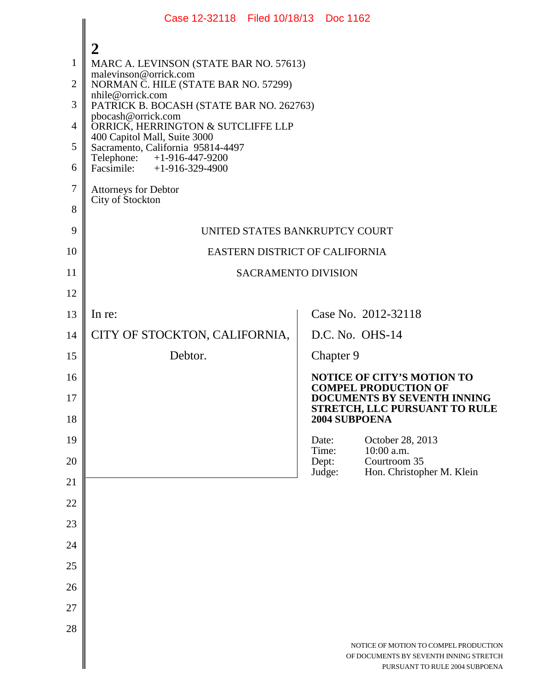|                | Case 12-32118 Filed 10/18/13 Doc 1162                             |  |                 |                                                                          |  |  |
|----------------|-------------------------------------------------------------------|--|-----------------|--------------------------------------------------------------------------|--|--|
|                | $\overline{2}$                                                    |  |                 |                                                                          |  |  |
| $\mathbf{1}$   | MARC A. LEVINSON (STATE BAR NO. 57613)                            |  |                 |                                                                          |  |  |
| $\overline{2}$ | malevinson@orrick.com<br>NORMAN C. HILE (STATE BAR NO. 57299)     |  |                 |                                                                          |  |  |
| 3              | nhile@orrick.com<br>PATRICK B. BOCASH (STATE BAR NO. 262763)      |  |                 |                                                                          |  |  |
| $\overline{4}$ | pbocash@orrick.com<br>ORRICK, HERRINGTON & SUTCLIFFE LLP          |  |                 |                                                                          |  |  |
| 5              | 400 Capitol Mall, Suite 3000<br>Sacramento, California 95814-4497 |  |                 |                                                                          |  |  |
| 6              | Telephone: +1-916-447-9200<br>Facsimile: $+1-916-329-4900$        |  |                 |                                                                          |  |  |
| $\tau$         | <b>Attorneys for Debtor</b>                                       |  |                 |                                                                          |  |  |
| 8              | City of Stockton                                                  |  |                 |                                                                          |  |  |
| 9              | UNITED STATES BANKRUPTCY COURT                                    |  |                 |                                                                          |  |  |
| 10             | EASTERN DISTRICT OF CALIFORNIA                                    |  |                 |                                                                          |  |  |
| 11             | <b>SACRAMENTO DIVISION</b>                                        |  |                 |                                                                          |  |  |
| 12             |                                                                   |  |                 |                                                                          |  |  |
| 13             | In re:                                                            |  |                 | Case No. 2012-32118                                                      |  |  |
| 14             | CITY OF STOCKTON, CALIFORNIA,                                     |  |                 | D.C. No. OHS-14                                                          |  |  |
| 15             | Debtor.                                                           |  | Chapter 9       |                                                                          |  |  |
| 16             |                                                                   |  |                 | <b>NOTICE OF CITY'S MOTION TO</b><br><b>COMPEL PRODUCTION OF</b>         |  |  |
| 17             |                                                                   |  |                 | DOCUMENTS BY SEVENTH INNING<br>STRETCH, LLC PURSUANT TO RULE             |  |  |
| 18             |                                                                   |  | 2004 SUBPOENA   |                                                                          |  |  |
| 19             |                                                                   |  | Date:<br>Time:  | October 28, 2013<br>10:00 a.m.                                           |  |  |
| 20             |                                                                   |  | Dept:<br>Judge: | Courtroom 35<br>Hon. Christopher M. Klein                                |  |  |
| 21             |                                                                   |  |                 |                                                                          |  |  |
| 22             |                                                                   |  |                 |                                                                          |  |  |
| 23             |                                                                   |  |                 |                                                                          |  |  |
| 24             |                                                                   |  |                 |                                                                          |  |  |
| 25             |                                                                   |  |                 |                                                                          |  |  |
| 26             |                                                                   |  |                 |                                                                          |  |  |
| 27             |                                                                   |  |                 |                                                                          |  |  |
| 28             |                                                                   |  |                 | NOTICE OF MOTION TO COMPEL PRODUCTION                                    |  |  |
|                |                                                                   |  |                 | OF DOCUMENTS BY SEVENTH INNING STRETCH<br>PURSUANT TO RULE 2004 SUBPOENA |  |  |